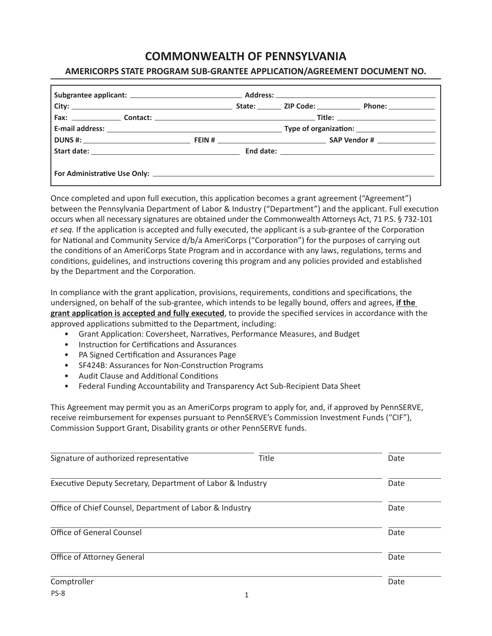# **COMMONWEALTH OF PENNSYLVANIA**

# **AMERICORPS STATE PROGRAM SUB-GRANTEE APPLICATION/AGREEMENT DOCUMENT NO.**

Once completed and upon full execution, this application becomes a grant agreement ("Agreement") between the Pennsylvania Department of Labor & Industry ("Department") and the applicant. Full execution occurs when all necessary signatures are obtained under the Commonwealth Attorneys Act, 71 P.S. § 732-101 *et seq.* If the application is accepted and fully executed, the applicant is a sub-grantee of the Corporation for National and Community Service d/b/a AmeriCorps ("Corporation") for the purposes of carrying out the conditions of an AmeriCorps State Program and in accordance with any laws, regulations, terms and conditions, guidelines, and instructions covering this program and any policies provided and established by the Department and the Corporation.

In compliance with the grant application, provisions, requirements, conditions and specifications, the undersigned, on behalf of the sub-grantee, which intends to be legally bound, offers and agrees, **if the grant application is accepted and fully executed**, to provide the specified services in accordance with the approved applications submitted to the Department, including:

- Grant Application: Coversheet, Narratives, Performance Measures, and Budget
- Instruction for Certifications and Assurances
- PA Signed Certification and Assurances Page
- SF424B: Assurances for Non-Construction Programs
- Audit Clause and Additional Conditions
- Federal Funding Accountability and Transparency Act Sub-Recipient Data Sheet

This Agreement may permit you as an AmeriCorps program to apply for, and, if approved by PennSERVE, receive reimbursement for expenses pursuant to PennSERVE's Commission Investment Funds ("CIF"), Commission Support Grant, Disability grants or other PennSERVE funds.

| Signature of authorized representative                     | Title | Date |
|------------------------------------------------------------|-------|------|
| Executive Deputy Secretary, Department of Labor & Industry |       | Date |
| Office of Chief Counsel, Department of Labor & Industry    |       | Date |
| <b>Office of General Counsel</b>                           |       | Date |
| Office of Attorney General                                 |       | Date |
| Comptroller                                                |       | Date |
| PS-8                                                       |       |      |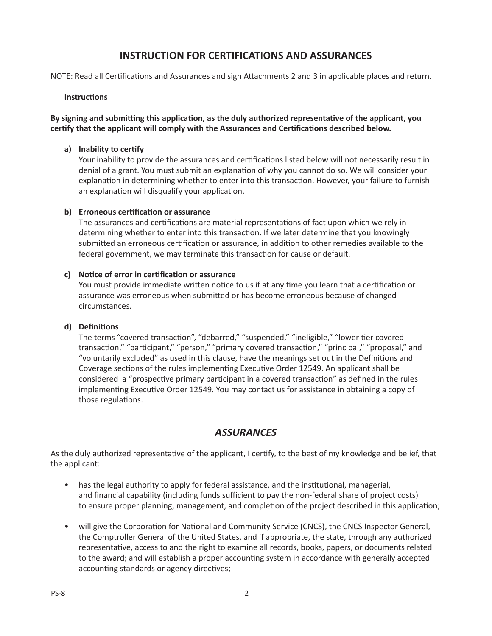# **INSTRUCTION FOR CERTIFICATIONS AND ASSURANCES**

NOTE: Read all Certifications and Assurances and sign Attachments 2 and 3 in applicable places and return.

# **Instructions**

**By signing and submitting this application, as the duly authorized representative of the applicant, you certify that the applicant will comply with the Assurances and Certifications described below.** 

# **a) Inability to certify**

Your inability to provide the assurances and certifications listed below will not necessarily result in denial of a grant. You must submit an explanation of why you cannot do so. We will consider your explanation in determining whether to enter into this transaction. However, your failure to furnish an explanation will disqualify your application.

#### **b) Erroneous certification or assurance**

The assurances and certifications are material representations of fact upon which we rely in determining whether to enter into this transaction. If we later determine that you knowingly submitted an erroneous certification or assurance, in addition to other remedies available to the federal government, we may terminate this transaction for cause or default.

#### **c) Notice of error in certification or assurance**

You must provide immediate written notice to us if at any time you learn that a certification or assurance was erroneous when submitted or has become erroneous because of changed circumstances.

# **d) Definitions**

The terms "covered transaction", "debarred," "suspended," "ineligible," "lower tier covered transaction," "participant," "person," "primary covered transaction," "principal," "proposal," and "voluntarily excluded" as used in this clause, have the meanings set out in the Definitions and Coverage sections of the rules implementing Executive Order 12549. An applicant shall be considered a "prospective primary participant in a covered transaction" as defined in the rules implementing Executive Order 12549. You may contact us for assistance in obtaining a copy of those regulations.

# *ASSURANCES*

As the duly authorized representative of the applicant, I certify, to the best of my knowledge and belief, that the applicant:

- has the legal authority to apply for federal assistance, and the institutional, managerial, and financial capability (including funds sufficient to pay the non-federal share of project costs) to ensure proper planning, management, and completion of the project described in this application;
- will give the Corporation for National and Community Service (CNCS), the CNCS Inspector General, the Comptroller General of the United States, and if appropriate, the state, through any authorized representative, access to and the right to examine all records, books, papers, or documents related to the award; and will establish a proper accounting system in accordance with generally accepted accounting standards or agency directives;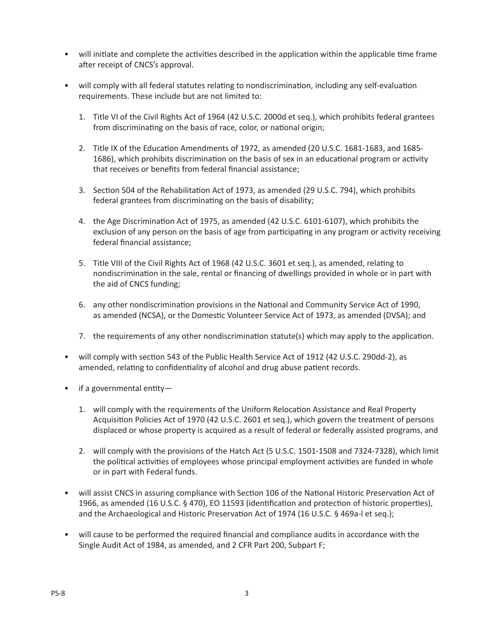- will initiate and complete the activities described in the application within the applicable time frame after receipt of CNCS's approval.
- will comply with all federal statutes relating to nondiscrimination, including any self-evaluation requirements. These include but are not limited to:
	- 1. Title VI of the Civil Rights Act of 1964 (42 U.S.C. 2000d et seq.), which prohibits federal grantees from discriminating on the basis of race, color, or national origin;
	- 2. Title IX of the Education Amendments of 1972, as amended (20 U.S.C. 1681-1683, and 1685- 1686), which prohibits discrimination on the basis of sex in an educational program or activity that receives or benefits from federal financial assistance;
	- 3. Section 504 of the Rehabilitation Act of 1973, as amended (29 U.S.C. 794), which prohibits federal grantees from discriminating on the basis of disability;
	- 4. the Age Discrimination Act of 1975, as amended (42 U.S.C. 6101-6107), which prohibits the exclusion of any person on the basis of age from participating in any program or activity receiving federal financial assistance;
	- 5. Title VIII of the Civil Rights Act of 1968 (42 U.S.C. 3601 et seq.), as amended, relating to nondiscrimination in the sale, rental or financing of dwellings provided in whole or in part with the aid of CNCS funding;
	- 6. any other nondiscrimination provisions in the National and Community Service Act of 1990, as amended (NCSA), or the Domestic Volunteer Service Act of 1973, as amended (DVSA); and
	- 7. the requirements of any other nondiscrimination statute(s) which may apply to the application.
- will comply with section 543 of the Public Health Service Act of 1912 (42 U.S.C. 290dd-2), as amended, relating to confidentiality of alcohol and drug abuse patient records.
- if a governmental entity—
	- 1. will comply with the requirements of the Uniform Relocation Assistance and Real Property Acquisition Policies Act of 1970 (42 U.S.C. 2601 et seq.), which govern the treatment of persons displaced or whose property is acquired as a result of federal or federally assisted programs, and
	- 2. will comply with the provisions of the Hatch Act (5 U.S.C. 1501-1508 and 7324-7328), which limit the political activities of employees whose principal employment activities are funded in whole or in part with Federal funds.
- will assist CNCS in assuring compliance with Section 106 of the National Historic Preservation Act of 1966, as amended (16 U.S.C. § 470), EO 11593 (identification and protection of historic properties), and the Archaeological and Historic Preservation Act of 1974 (16 U.S.C. § 469a-l et seq.);
- will cause to be performed the required financial and compliance audits in accordance with the Single Audit Act of 1984, as amended, and 2 CFR Part 200, Subpart F;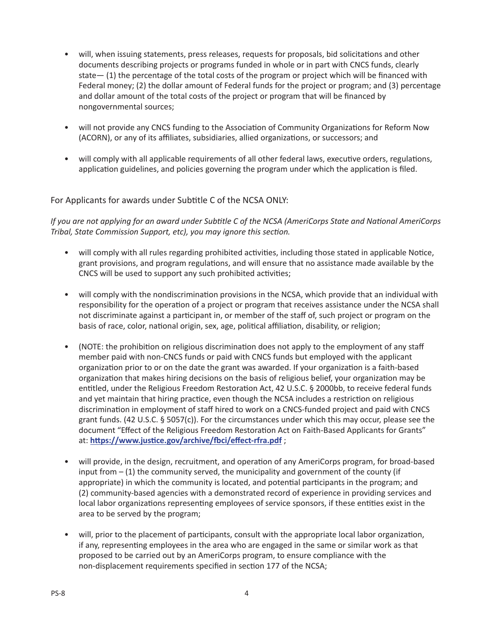- will, when issuing statements, press releases, requests for proposals, bid solicitations and other documents describing projects or programs funded in whole or in part with CNCS funds, clearly state— (1) the percentage of the total costs of the program or project which will be financed with Federal money; (2) the dollar amount of Federal funds for the project or program; and (3) percentage and dollar amount of the total costs of the project or program that will be financed by nongovernmental sources;
- will not provide any CNCS funding to the Association of Community Organizations for Reform Now (ACORN), or any of its affiliates, subsidiaries, allied organizations, or successors; and
- will comply with all applicable requirements of all other federal laws, executive orders, regulations, application guidelines, and policies governing the program under which the application is filed.

# For Applicants for awards under Subtitle C of the NCSA ONLY:

*If you are not applying for an award under Subtitle C of the NCSA (AmeriCorps State and National AmeriCorps Tribal, State Commission Support, etc), you may ignore this section.*

- will comply with all rules regarding prohibited activities, including those stated in applicable Notice, grant provisions, and program regulations, and will ensure that no assistance made available by the CNCS will be used to support any such prohibited activities;
- will comply with the nondiscrimination provisions in the NCSA, which provide that an individual with responsibility for the operation of a project or program that receives assistance under the NCSA shall not discriminate against a participant in, or member of the staff of, such project or program on the basis of race, color, national origin, sex, age, political affiliation, disability, or religion;
- (NOTE: the prohibition on religious discrimination does not apply to the employment of any staff member paid with non-CNCS funds or paid with CNCS funds but employed with the applicant organization prior to or on the date the grant was awarded. If your organization is a faith-based organization that makes hiring decisions on the basis of religious belief, your organization may be entitled, under the Religious Freedom Restoration Act, 42 U.S.C. § 2000bb, to receive federal funds and yet maintain that hiring practice, even though the NCSA includes a restriction on religious discrimination in employment of staff hired to work on a CNCS-funded project and paid with CNCS grant funds. (42 U.S.C. § 5057(c)). For the circumstances under which this may occur, please see the document "Effect of the Religious Freedom Restoration Act on Faith-Based Applicants for Grants" at: **<https://www.justice.gov/archive/fbci/effect-rfra.pdf>** ;
- will provide, in the design, recruitment, and operation of any AmeriCorps program, for broad-based input from  $-$  (1) the community served, the municipality and government of the county (if appropriate) in which the community is located, and potential participants in the program; and (2) community-based agencies with a demonstrated record of experience in providing services and local labor organizations representing employees of service sponsors, if these entities exist in the area to be served by the program;
- will, prior to the placement of participants, consult with the appropriate local labor organization, if any, representing employees in the area who are engaged in the same or similar work as that proposed to be carried out by an AmeriCorps program, to ensure compliance with the non-displacement requirements specified in section 177 of the NCSA;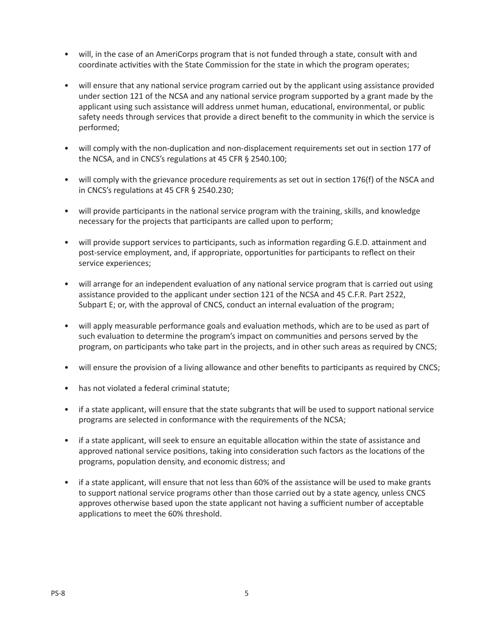- will, in the case of an AmeriCorps program that is not funded through a state, consult with and coordinate activities with the State Commission for the state in which the program operates;
- will ensure that any national service program carried out by the applicant using assistance provided under section 121 of the NCSA and any national service program supported by a grant made by the applicant using such assistance will address unmet human, educational, environmental, or public safety needs through services that provide a direct benefit to the community in which the service is performed;
- will comply with the non-duplication and non-displacement requirements set out in section 177 of the NCSA, and in CNCS's regulations at 45 CFR § 2540.100;
- will comply with the grievance procedure requirements as set out in section 176(f) of the NSCA and in CNCS's regulations at 45 CFR § 2540.230;
- will provide participants in the national service program with the training, skills, and knowledge necessary for the projects that participants are called upon to perform;
- will provide support services to participants, such as information regarding G.E.D. attainment and post-service employment, and, if appropriate, opportunities for participants to reflect on their service experiences;
- will arrange for an independent evaluation of any national service program that is carried out using assistance provided to the applicant under section 121 of the NCSA and 45 C.F.R. Part 2522, Subpart E; or, with the approval of CNCS, conduct an internal evaluation of the program;
- will apply measurable performance goals and evaluation methods, which are to be used as part of such evaluation to determine the program's impact on communities and persons served by the program, on participants who take part in the projects, and in other such areas as required by CNCS;
- will ensure the provision of a living allowance and other benefits to participants as required by CNCS;
- has not violated a federal criminal statute;
- if a state applicant, will ensure that the state subgrants that will be used to support national service programs are selected in conformance with the requirements of the NCSA;
- if a state applicant, will seek to ensure an equitable allocation within the state of assistance and approved national service positions, taking into consideration such factors as the locations of the programs, population density, and economic distress; and
- if a state applicant, will ensure that not less than 60% of the assistance will be used to make grants to support national service programs other than those carried out by a state agency, unless CNCS approves otherwise based upon the state applicant not having a sufficient number of acceptable applications to meet the 60% threshold.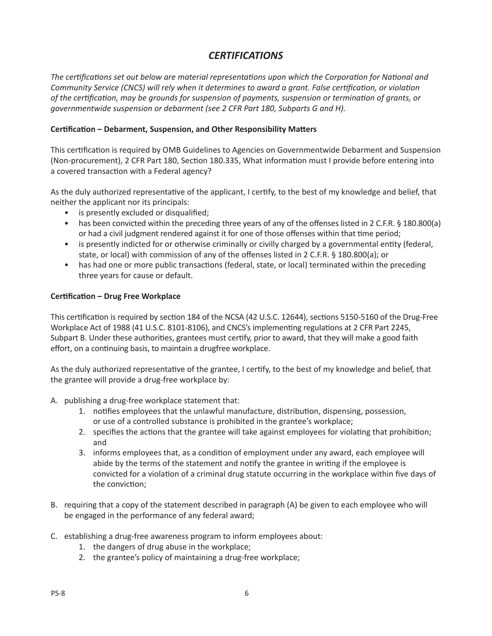# *CERTIFICATIONS*

*The certifications set out below are material representations upon which the Corporation for National and Community Service (CNCS) will rely when it determines to award a grant. False certification, or violation of the certification, may be grounds for suspension of payments, suspension or termination of grants, or governmentwide suspension or debarment (see 2 CFR Part 180, Subparts G and H).*

# **Certification – Debarment, Suspension, and Other Responsibility Matters**

This certification is required by OMB Guidelines to Agencies on Governmentwide Debarment and Suspension (Non-procurement), 2 CFR Part 180, Section 180.335, What information must I provide before entering into a covered transaction with a Federal agency?

As the duly authorized representative of the applicant, I certify, to the best of my knowledge and belief, that neither the applicant nor its principals:

- is presently excluded or disqualified;
- has been convicted within the preceding three years of any of the offenses listed in 2 C.F.R. § 180.800(a) or had a civil judgment rendered against it for one of those offenses within that time period;
- is presently indicted for or otherwise criminally or civilly charged by a governmental entity (federal, state, or local) with commission of any of the offenses listed in 2 C.F.R. § 180.800(a); or
- has had one or more public transactions (federal, state, or local) terminated within the preceding three years for cause or default.

# **Certification – Drug Free Workplace**

This certification is required by section 184 of the NCSA (42 U.S.C. 12644), sections 5150-5160 of the Drug-Free Workplace Act of 1988 (41 U.S.C. 8101-8106), and CNCS's implementing regulations at 2 CFR Part 2245, Subpart B. Under these authorities, grantees must certify, prior to award, that they will make a good faith effort, on a continuing basis, to maintain a drugfree workplace.

As the duly authorized representative of the grantee, I certify, to the best of my knowledge and belief, that the grantee will provide a drug-free workplace by:

- A. publishing a drug-free workplace statement that:
	- 1. notifies employees that the unlawful manufacture, distribution, dispensing, possession, or use of a controlled substance is prohibited in the grantee's workplace;
	- 2. specifies the actions that the grantee will take against employees for violating that prohibition; and
	- 3. informs employees that, as a condition of employment under any award, each employee will abide by the terms of the statement and notify the grantee in writing if the employee is convicted for a violation of a criminal drug statute occurring in the workplace within five days of the conviction;
- B. requiring that a copy of the statement described in paragraph (A) be given to each employee who will be engaged in the performance of any federal award;
- C. establishing a drug-free awareness program to inform employees about:
	- 1. the dangers of drug abuse in the workplace;
	- 2. the grantee's policy of maintaining a drug-free workplace;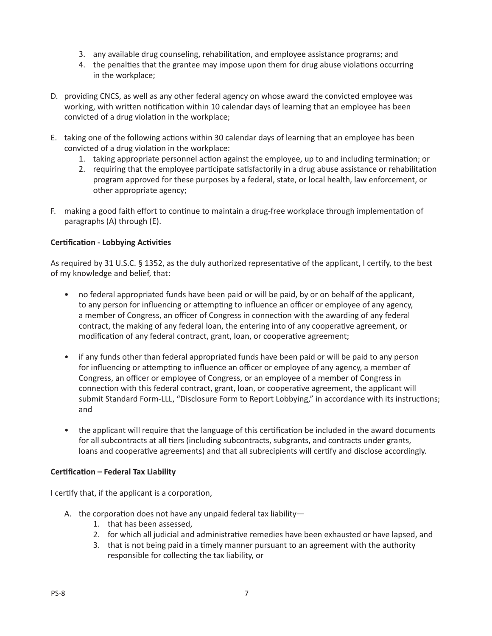- 3. any available drug counseling, rehabilitation, and employee assistance programs; and
- 4. the penalties that the grantee may impose upon them for drug abuse violations occurring in the workplace;
- D. providing CNCS, as well as any other federal agency on whose award the convicted employee was working, with written notification within 10 calendar days of learning that an employee has been convicted of a drug violation in the workplace;
- E. taking one of the following actions within 30 calendar days of learning that an employee has been convicted of a drug violation in the workplace:
	- 1. taking appropriate personnel action against the employee, up to and including termination; or
	- 2. requiring that the employee participate satisfactorily in a drug abuse assistance or rehabilitation program approved for these purposes by a federal, state, or local health, law enforcement, or other appropriate agency;
- F. making a good faith effort to continue to maintain a drug-free workplace through implementation of paragraphs (A) through (E).

# **Certification - Lobbying Activities**

As required by 31 U.S.C. § 1352, as the duly authorized representative of the applicant, I certify, to the best of my knowledge and belief, that:

- no federal appropriated funds have been paid or will be paid, by or on behalf of the applicant, to any person for influencing or attempting to influence an officer or employee of any agency, a member of Congress, an officer of Congress in connection with the awarding of any federal contract, the making of any federal loan, the entering into of any cooperative agreement, or modification of any federal contract, grant, loan, or cooperative agreement;
- if any funds other than federal appropriated funds have been paid or will be paid to any person for influencing or attempting to influence an officer or employee of any agency, a member of Congress, an officer or employee of Congress, or an employee of a member of Congress in connection with this federal contract, grant, loan, or cooperative agreement, the applicant will submit Standard Form-LLL, "Disclosure Form to Report Lobbying," in accordance with its instructions; and
- the applicant will require that the language of this certification be included in the award documents for all subcontracts at all tiers (including subcontracts, subgrants, and contracts under grants, loans and cooperative agreements) and that all subrecipients will certify and disclose accordingly.

# **Certification – Federal Tax Liability**

I certify that, if the applicant is a corporation,

- A. the corporation does not have any unpaid federal tax liability—
	- 1. that has been assessed,
	- 2. for which all judicial and administrative remedies have been exhausted or have lapsed, and
	- 3. that is not being paid in a timely manner pursuant to an agreement with the authority responsible for collecting the tax liability, or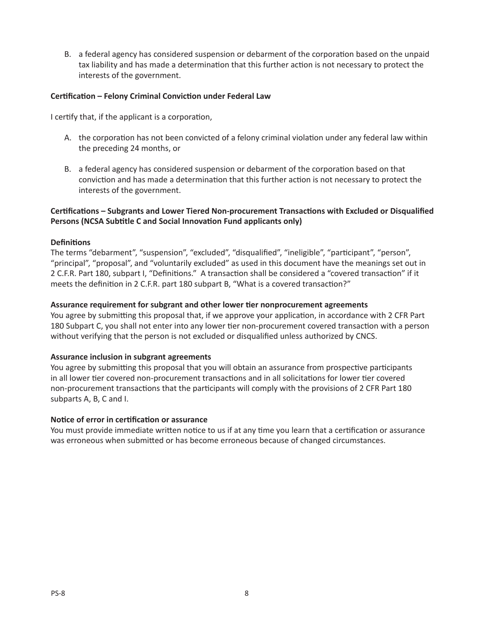B. a federal agency has considered suspension or debarment of the corporation based on the unpaid tax liability and has made a determination that this further action is not necessary to protect the interests of the government.

# **Certification – Felony Criminal Conviction under Federal Law**

I certify that, if the applicant is a corporation,

- A. the corporation has not been convicted of a felony criminal violation under any federal law within the preceding 24 months, or
- B. a federal agency has considered suspension or debarment of the corporation based on that conviction and has made a determination that this further action is not necessary to protect the interests of the government.

# **Certifications – Subgrants and Lower Tiered Non-procurement Transactions with Excluded or Disqualified Persons (NCSA Subtitle C and Social Innovation Fund applicants only)**

#### **Definitions**

The terms "debarment", "suspension", "excluded", "disqualified", "ineligible", "participant", "person", "principal", "proposal", and "voluntarily excluded" as used in this document have the meanings set out in 2 C.F.R. Part 180, subpart I, "Definitions." A transaction shall be considered a "covered transaction" if it meets the definition in 2 C.F.R. part 180 subpart B, "What is a covered transaction?"

#### **Assurance requirement for subgrant and other lower tier nonprocurement agreements**

You agree by submitting this proposal that, if we approve your application, in accordance with 2 CFR Part 180 Subpart C, you shall not enter into any lower tier non-procurement covered transaction with a person without verifying that the person is not excluded or disqualified unless authorized by CNCS.

#### **Assurance inclusion in subgrant agreements**

You agree by submitting this proposal that you will obtain an assurance from prospective participants in all lower tier covered non-procurement transactions and in all solicitations for lower tier covered non-procurement transactions that the participants will comply with the provisions of 2 CFR Part 180 subparts A, B, C and I.

#### **Notice of error in certification or assurance**

You must provide immediate written notice to us if at any time you learn that a certification or assurance was erroneous when submitted or has become erroneous because of changed circumstances.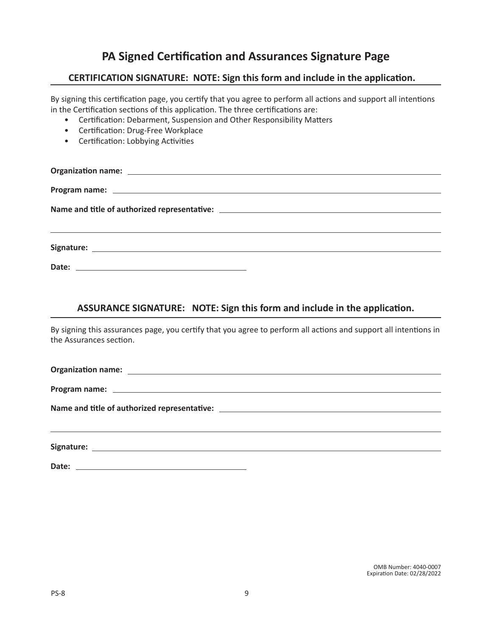# **PA Signed Certification and Assurances Signature Page**

# **CERTIFICATION SIGNATURE: NOTE: Sign this form and include in the application.**

By signing this certification page, you certify that you agree to perform all actions and support all intentions in the Certification sections of this application. The three certifications are:

- Certification: Debarment, Suspension and Other Responsibility Matters
- Certification: Drug-Free Workplace
- Certification: Lobbying Activities

# **ASSURANCE SIGNATURE: NOTE: Sign this form and include in the application.**

By signing this assurances page, you certify that you agree to perform all actions and support all intentions in the Assurances section.

**Organization name:**

**Program name:**

**Name and title of authorized representative:**

**Signature:**

**Date:**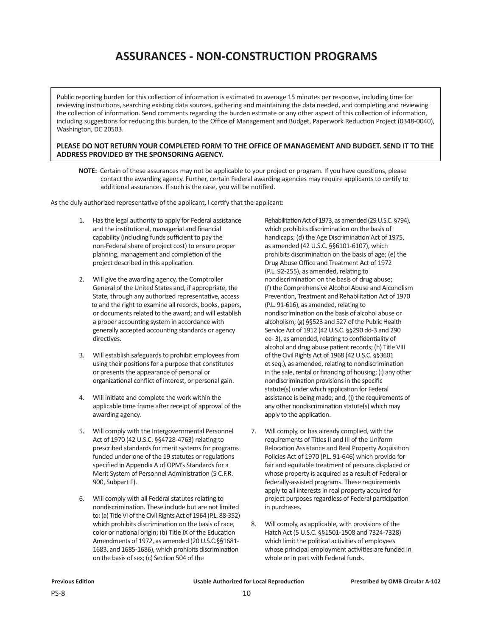# **ASSURANCES - NON-CONSTRUCTION PROGRAMS**

Public reporting burden for this collection of information is estimated to average 15 minutes per response, including time for reviewing instructions, searching existing data sources, gathering and maintaining the data needed, and completing and reviewing the collection of information. Send comments regarding the burden estimate or any other aspect of this collection of information, including suggestions for reducing this burden, to the Office of Management and Budget, Paperwork Reduction Project (0348-0040), Washington, DC 20503.

#### **PLEASE DO NOT RETURN YOUR COMPLETED FORM TO THE OFFICE OF MANAGEMENT AND BUDGET. SEND IT TO THE ADDRESS PROVIDED BY THE SPONSORING AGENCY.**

 **NOTE:** Certain of these assurances may not be applicable to your project or program. If you have questions, please contact the awarding agency. Further, certain Federal awarding agencies may require applicants to certify to additional assurances. If such is the case, you will be notified.

As the duly authorized representative of the applicant, I certify that the applicant:

- 1. Has the legal authority to apply for Federal assistance and the institutional, managerial and financial capability (including funds sufficient to pay the non-Federal share of project cost) to ensure proper planning, management and completion of the project described in this application.
- 2. Will give the awarding agency, the Comptroller General of the United States and, if appropriate, the State, through any authorized representative, access to and the right to examine all records, books, papers, or documents related to the award; and will establish a proper accounting system in accordance with generally accepted accounting standards or agency directives.
- 3. Will establish safeguards to prohibit employees from using their positions for a purpose that constitutes or presents the appearance of personal or organizational conflict of interest, or personal gain.
- 4. Will initiate and complete the work within the applicable time frame after receipt of approval of the awarding agency.
- 5. Will comply with the Intergovernmental Personnel Act of 1970 (42 U.S.C. §§4728-4763) relating to prescribed standards for merit systems for programs funded under one of the 19 statutes or regulations specified in Appendix A of OPM's Standards for a Merit System of Personnel Administration (5 C.F.R. 900, Subpart F).
- 6. Will comply with all Federal statutes relating to nondiscrimination. These include but are not limited to: (a) Title VI of the Civil Rights Act of 1964 (P.L. 88-352) which prohibits discrimination on the basis of race, color or national origin; (b) Title IX of the Education Amendments of 1972, as amended (20 U.S.C.§§1681- 1683, and 1685-1686), which prohibits discrimination on the basis of sex; (c) Section 504 of the

Rehabilitation Act of 1973, as amended (29 U.S.C. §794), which prohibits discrimination on the basis of handicaps; (d) the Age Discrimination Act of 1975, as amended (42 U.S.C. §§6101-6107), which prohibits discrimination on the basis of age; (e) the Drug Abuse Office and Treatment Act of 1972 (P.L. 92-255), as amended, relating to nondiscrimination on the basis of drug abuse; (f) the Comprehensive Alcohol Abuse and Alcoholism Prevention, Treatment and Rehabilitation Act of 1970 (P.L. 91-616), as amended, relating to nondiscrimination on the basis of alcohol abuse or alcoholism; (g) §§523 and 527 of the Public Health Service Act of 1912 (42 U.S.C. §§290 dd-3 and 290 ee- 3), as amended, relating to confidentiality of alcohol and drug abuse patient records; (h) Title VIII of the Civil Rights Act of 1968 (42 U.S.C. §§3601 et seq.), as amended, relating to nondiscrimination in the sale, rental or financing of housing; (i) any other nondiscrimination provisions in the specific statute(s) under which application for Federal assistance is being made; and, (j) the requirements of any other nondiscrimination statute(s) which may apply to the application.

- 7. Will comply, or has already complied, with the requirements of Titles II and III of the Uniform Relocation Assistance and Real Property Acquisition Policies Act of 1970 (P.L. 91-646) which provide for fair and equitable treatment of persons displaced or whose property is acquired as a result of Federal or federally-assisted programs. These requirements apply to all interests in real property acquired for project purposes regardless of Federal participation in purchases.
- 8. Will comply, as applicable, with provisions of the Hatch Act (5 U.S.C. §§1501-1508 and 7324-7328) which limit the political activities of employees whose principal employment activities are funded in whole or in part with Federal funds.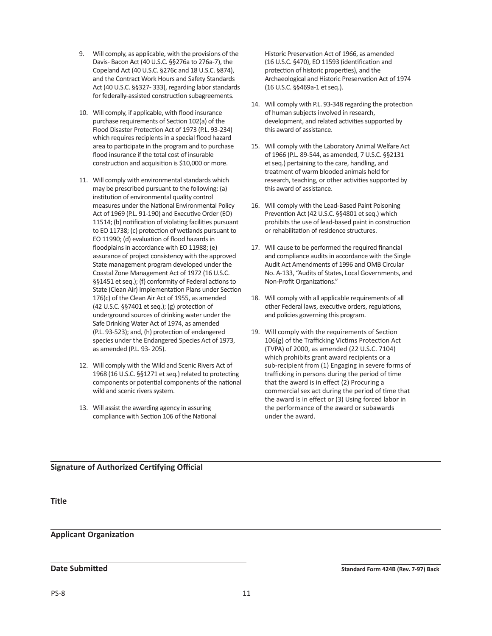- 9. Will comply, as applicable, with the provisions of the Davis- Bacon Act (40 U.S.C. §§276a to 276a-7), the Copeland Act (40 U.S.C. §276c and 18 U.S.C. §874), and the Contract Work Hours and Safety Standards Act (40 U.S.C. §§327- 333), regarding labor standards for federally-assisted construction subagreements.
- 10. Will comply, if applicable, with flood insurance purchase requirements of Section 102(a) of the Flood Disaster Protection Act of 1973 (P.L. 93-234) which requires recipients in a special flood hazard area to participate in the program and to purchase flood insurance if the total cost of insurable construction and acquisition is \$10,000 or more.
- 11. Will comply with environmental standards which may be prescribed pursuant to the following: (a) institution of environmental quality control measures under the National Environmental Policy Act of 1969 (P.L. 91-190) and Executive Order (EO) 11514; (b) notification of violating facilities pursuant to EO 11738; (c) protection of wetlands pursuant to EO 11990; (d) evaluation of flood hazards in floodplains in accordance with EO 11988; (e) assurance of project consistency with the approved State management program developed under the Coastal Zone Management Act of 1972 (16 U.S.C. §§1451 et seq.); (f) conformity of Federal actions to State (Clean Air) Implementation Plans under Section 176(c) of the Clean Air Act of 1955, as amended (42 U.S.C. §§7401 et seq.); (g) protection of underground sources of drinking water under the Safe Drinking Water Act of 1974, as amended (P.L. 93-523); and, (h) protection of endangered species under the Endangered Species Act of 1973, as amended (P.L. 93- 205).
- 12. Will comply with the Wild and Scenic Rivers Act of 1968 (16 U.S.C. §§1271 et seq.) related to protecting components or potential components of the national wild and scenic rivers system.
- 13. Will assist the awarding agency in assuring compliance with Section 106 of the National

Historic Preservation Act of 1966, as amended (16 U.S.C. §470), EO 11593 (identification and protection of historic properties), and the Archaeological and Historic Preservation Act of 1974 (16 U.S.C. §§469a-1 et seq.).

- 14. Will comply with P.L. 93-348 regarding the protection of human subjects involved in research, development, and related activities supported by this award of assistance.
- 15. Will comply with the Laboratory Animal Welfare Act of 1966 (P.L. 89-544, as amended, 7 U.S.C. §§2131 et seq.) pertaining to the care, handling, and treatment of warm blooded animals held for research, teaching, or other activities supported by this award of assistance.
- 16. Will comply with the Lead-Based Paint Poisoning Prevention Act (42 U.S.C. §§4801 et seq.) which prohibits the use of lead-based paint in construction or rehabilitation of residence structures.
- 17. Will cause to be performed the required financial and compliance audits in accordance with the Single Audit Act Amendments of 1996 and OMB Circular No. A-133, "Audits of States, Local Governments, and Non-Profit Organizations."
- 18. Will comply with all applicable requirements of all other Federal laws, executive orders, regulations, and policies governing this program.
- 19. Will comply with the requirements of Section 106(g) of the Trafficking Victims Protection Act (TVPA) of 2000, as amended (22 U.S.C. 7104) which prohibits grant award recipients or a sub-recipient from (1) Engaging in severe forms of trafficking in persons during the period of time that the award is in effect (2) Procuring a commercial sex act during the period of time that the award is in effect or (3) Using forced labor in the performance of the award or subawards under the award.

# **Signature of Authorized Certifying Official**

**Title**

# **Applicant Organization**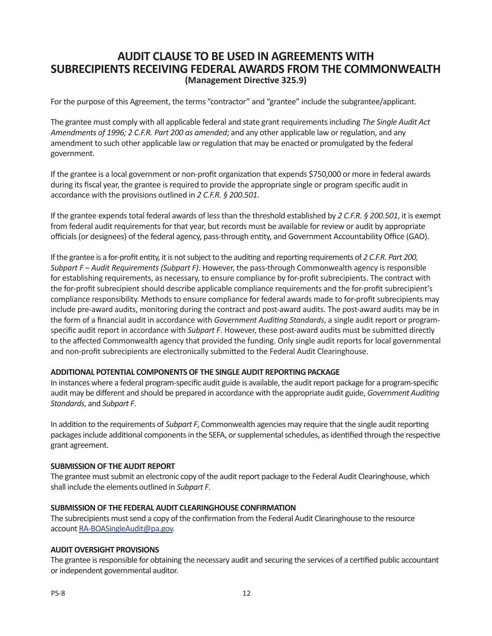# **AUDIT CLAUSE TO BE USED IN AGREEMENTS WITH SUBRECIPIENTS RECEIVING FEDERAL AWARDS FROM THE COMMONWEALTH (Management Directive 325.9)**

For the purpose of this Agreement, the terms "contractor" and "grantee" include the subgrantee/applicant.

The grantee must comply with all applicable federal and state grant requirements including *The Single Audit Act Amendments of 1996; 2 C.F.R. Part 200 as amended*; and any other applicable law or regulation, and any amendment to such other applicable law or regulation that may be enacted or promulgated by the federal government.

If the grantee is a local government or non-profit organization that expends \$750,000 or more in federal awards during its fiscal year, the grantee is required to provide the appropriate single or program specific audit in accordance with the provisions outlined in *2 C.F.R. § 200.501*.

If the grantee expends total federal awards of less than the threshold established by *2 C.F.R. § 200.501*, it is exempt from federal audit requirements for that year, but records must be available for review or audit by appropriate officials (or designees) of the federal agency, pass-through entity, and Government Accountability Office (GAO).

If the grantee is a for-profit entity, it is not subject to the auditing and reporting requirements of *2 C.F.R. Part 200, Subpart F – Audit Requirements (Subpart F)*. However, the pass-through Commonwealth agency is responsible for establishing requirements, as necessary, to ensure compliance by for-profit subrecipients. The contract with the for-profit subrecipient should describe applicable compliance requirements and the for-profit subrecipient's compliance responsibility. Methods to ensure compliance for federal awards made to for-profit subrecipients may include pre-award audits, monitoring during the contract and post-award audits. The post-award audits may be in the form of a financial audit in accordance with *Government Auditing Standards*, a single audit report or programspecific audit report in accordance with *Subpart F*. However, these post-award audits must be submitted directly to the affected Commonwealth agency that provided the funding. Only single audit reports for local governmental and non-profit subrecipients are electronically submitted to the Federal Audit Clearinghouse.

# **ADDITIONAL POTENTIAL COMPONENTS OF THE SINGLE AUDIT REPORTING PACKAGE**

In instances where a federal program-specific audit guide is available, the audit report package for a program-specific audit may be different and should be prepared in accordance with the appropriate audit guide, *Government Auditing Standards*, and *Subpart F*.

In addition to the requirements of *Subpart F*, Commonwealth agencies may require that the single audit reporting packages include additional components in the SEFA, or supplemental schedules, as identified through the respective grant agreement.

# **SUBMISSION OF THE AUDIT REPORT**

The grantee must submit an electronic copy of the audit report package to the Federal Audit Clearinghouse, which shall include the elements outlined in *Subpart F*.

# **SUBMISSION OF THE FEDERAL AUDIT CLEARINGHOUSE CONFIRMATION**

The subrecipients must send a copy of the confirmation from the Federal Audit Clearinghouse to the resource account [RA-BOASingleAudit@pa.gov.](mailto:RA-BOASingleAudit%40pa.gov?subject=)

# **AUDIT OVERSIGHT PROVISIONS**

The grantee is responsible for obtaining the necessary audit and securing the services of a certified public accountant or independent governmental auditor.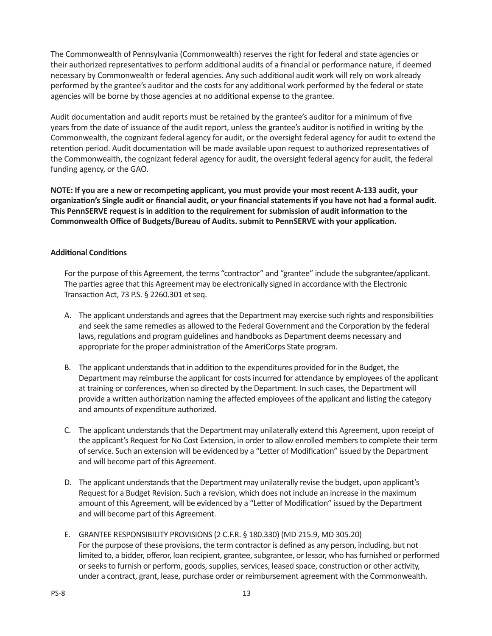The Commonwealth of Pennsylvania (Commonwealth) reserves the right for federal and state agencies or their authorized representatives to perform additional audits of a financial or performance nature, if deemed necessary by Commonwealth or federal agencies. Any such additional audit work will rely on work already performed by the grantee's auditor and the costs for any additional work performed by the federal or state agencies will be borne by those agencies at no additional expense to the grantee.

Audit documentation and audit reports must be retained by the grantee's auditor for a minimum of five years from the date of issuance of the audit report, unless the grantee's auditor is notified in writing by the Commonwealth, the cognizant federal agency for audit, or the oversight federal agency for audit to extend the retention period. Audit documentation will be made available upon request to authorized representatives of the Commonwealth, the cognizant federal agency for audit, the oversight federal agency for audit, the federal funding agency, or the GAO.

**NOTE: If you are a new or recompeting applicant, you must provide your most recent A-133 audit, your organization's Single audit or financial audit, or your financial statements if you have not had a formal audit. This PennSERVE request is in addition to the requirement for submission of audit information to the Commonwealth Office of Budgets/Bureau of Audits. submit to PennSERVE with your application.**

# **Additional Conditions**

For the purpose of this Agreement, the terms "contractor" and "grantee" include the subgrantee/applicant. The parties agree that this Agreement may be electronically signed in accordance with the Electronic Transaction Act, 73 P.S. § 2260.301 et seq.

- A. The applicant understands and agrees that the Department may exercise such rights and responsibilities and seek the same remedies as allowed to the Federal Government and the Corporation by the federal laws, regulations and program guidelines and handbooks as Department deems necessary and appropriate for the proper administration of the AmeriCorps State program.
- B. The applicant understands that in addition to the expenditures provided for in the Budget, the Department may reimburse the applicant for costs incurred for attendance by employees of the applicant at training or conferences, when so directed by the Department. In such cases, the Department will provide a written authorization naming the affected employees of the applicant and listing the category and amounts of expenditure authorized.
- C. The applicant understands that the Department may unilaterally extend this Agreement, upon receipt of the applicant's Request for No Cost Extension, in order to allow enrolled members to complete their term of service. Such an extension will be evidenced by a "Letter of Modification" issued by the Department and will become part of this Agreement.
- D. The applicant understands that the Department may unilaterally revise the budget, upon applicant's Request for a Budget Revision. Such a revision, which does not include an increase in the maximum amount of this Agreement, will be evidenced by a "Letter of Modification" issued by the Department and will become part of this Agreement.
- E. GRANTEE RESPONSIBILITY PROVISIONS (2 C.F.R. § 180.330) (MD 215.9, MD 305.20) For the purpose of these provisions, the term contractor is defined as any person, including, but not limited to, a bidder, offeror, loan recipient, grantee, subgrantee, or lessor, who has furnished or performed or seeks to furnish or perform, goods, supplies, services, leased space, construction or other activity, under a contract, grant, lease, purchase order or reimbursement agreement with the Commonwealth.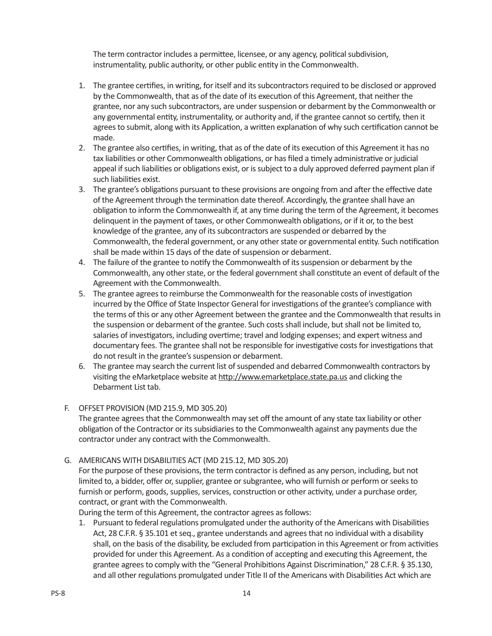The term contractor includes a permittee, licensee, or any agency, political subdivision, instrumentality, public authority, or other public entity in the Commonwealth.

- 1. The grantee certifies, in writing, for itself and its subcontractors required to be disclosed or approved by the Commonwealth, that as of the date of its execution of this Agreement, that neither the grantee, nor any such subcontractors, are under suspension or debarment by the Commonwealth or any governmental entity, instrumentality, or authority and, if the grantee cannot so certify, then it agrees to submit, along with its Application, a written explanation of why such certification cannot be made.
- 2. The grantee also certifies, in writing, that as of the date of its execution of this Agreement it has no tax liabilities or other Commonwealth obligations, or has filed a timely administrative or judicial appeal if such liabilities or obligations exist, or is subject to a duly approved deferred payment plan if such liabilities exist.
- 3. The grantee's obligations pursuant to these provisions are ongoing from and after the effective date of the Agreement through the termination date thereof. Accordingly, the grantee shall have an obligation to inform the Commonwealth if, at any time during the term of the Agreement, it becomes delinquent in the payment of taxes, or other Commonwealth obligations, or if it or, to the best knowledge of the grantee, any of its subcontractors are suspended or debarred by the Commonwealth, the federal government, or any other state or governmental entity. Such notification shall be made within 15 days of the date of suspension or debarment.
- 4. The failure of the grantee to notify the Commonwealth of its suspension or debarment by the Commonwealth, any other state, or the federal government shall constitute an event of default of the Agreement with the Commonwealth.
- 5. The grantee agrees to reimburse the Commonwealth for the reasonable costs of investigation incurred by the Office of State Inspector General for investigations of the grantee's compliance with the terms of this or any other Agreement between the grantee and the Commonwealth that results in the suspension or debarment of the grantee. Such costs shall include, but shall not be limited to, salaries of investigators, including overtime; travel and lodging expenses; and expert witness and documentary fees. The grantee shall not be responsible for investigative costs for investigations that do not result in the grantee's suspension or debarment.
- 6. The grantee may search the current list of suspended and debarred Commonwealth contractors by visiting the eMarketplace website at<http://www.emarketplace.state.pa.us> and clicking the Debarment List tab.
- F. OFFSET PROVISION (MD 215.9, MD 305.20)

The grantee agrees that the Commonwealth may set off the amount of any state tax liability or other obligation of the Contractor or its subsidiaries to the Commonwealth against any payments due the contractor under any contract with the Commonwealth.

G. AMERICANS WITH DISABILITIES ACT (MD 215.12, MD 305.20)

For the purpose of these provisions, the term contractor is defined as any person, including, but not limited to, a bidder, offer or, supplier, grantee or subgrantee, who will furnish or perform or seeks to furnish or perform, goods, supplies, services, construction or other activity, under a purchase order, contract, or grant with the Commonwealth.

During the term of this Agreement, the contractor agrees as follows:

1. Pursuant to federal regulations promulgated under the authority of the Americans with Disabilities Act, 28 C.F.R. § 35.101 et seq., grantee understands and agrees that no individual with a disability shall, on the basis of the disability, be excluded from participation in this Agreement or from activities provided for under this Agreement. As a condition of accepting and executing this Agreement, the grantee agrees to comply with the "General Prohibitions Against Discrimination," 28 C.F.R. § 35.130, and all other regulations promulgated under Title II of the Americans with Disabilities Act which are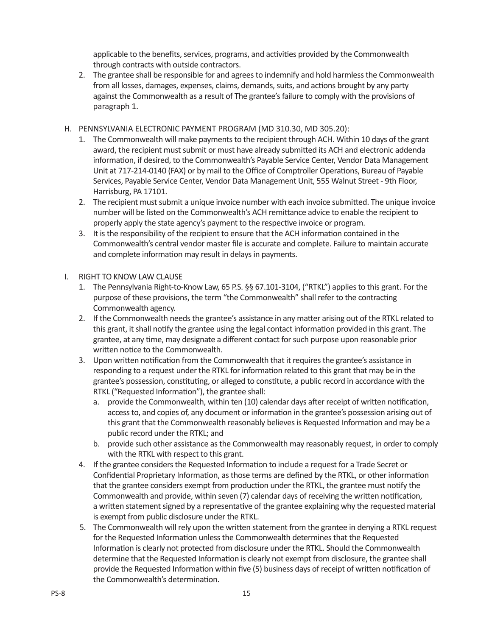applicable to the benefits, services, programs, and activities provided by the Commonwealth through contracts with outside contractors.

- 2. The grantee shall be responsible for and agrees to indemnify and hold harmless the Commonwealth from all losses, damages, expenses, claims, demands, suits, and actions brought by any party against the Commonwealth as a result of The grantee's failure to comply with the provisions of paragraph 1.
- H. PENNSYLVANIA ELECTRONIC PAYMENT PROGRAM (MD 310.30, MD 305.20):
	- 1. The Commonwealth will make payments to the recipient through ACH. Within 10 days of the grant award, the recipient must submit or must have already submitted its ACH and electronic addenda information, if desired, to the Commonwealth's Payable Service Center, Vendor Data Management Unit at 717-214-0140 (FAX) or by mail to the Office of Comptroller Operations, Bureau of Payable Services, Payable Service Center, Vendor Data Management Unit, 555 Walnut Street - 9th Floor, Harrisburg, PA 17101.
	- 2. The recipient must submit a unique invoice number with each invoice submitted. The unique invoice number will be listed on the Commonwealth's ACH remittance advice to enable the recipient to properly apply the state agency's payment to the respective invoice or program.
	- 3. It is the responsibility of the recipient to ensure that the ACH information contained in the Commonwealth's central vendor master file is accurate and complete. Failure to maintain accurate and complete information may result in delays in payments.
- I. RIGHT TO KNOW LAW CLAUSE
	- 1. The Pennsylvania Right-to-Know Law, 65 P.S. §§ 67.101-3104, ("RTKL") applies to this grant. For the purpose of these provisions, the term "the Commonwealth" shall refer to the contracting Commonwealth agency.
	- 2. If the Commonwealth needs the grantee's assistance in any matter arising out of the RTKL related to this grant, it shall notify the grantee using the legal contact information provided in this grant. The grantee, at any time, may designate a different contact for such purpose upon reasonable prior written notice to the Commonwealth.
	- 3. Upon written notification from the Commonwealth that it requires the grantee's assistance in responding to a request under the RTKL for information related to this grant that may be in the grantee's possession, constituting, or alleged to constitute, a public record in accordance with the RTKL ("Requested Information"), the grantee shall:
		- a. provide the Commonwealth, within ten (10) calendar days after receipt of written notification, access to, and copies of, any document or information in the grantee's possession arising out of this grant that the Commonwealth reasonably believes is Requested Information and may be a public record under the RTKL; and
		- b. provide such other assistance as the Commonwealth may reasonably request, in order to comply with the RTKL with respect to this grant.
	- 4. If the grantee considers the Requested Information to include a request for a Trade Secret or Confidential Proprietary Information, as those terms are defined by the RTKL, or other information that the grantee considers exempt from production under the RTKL, the grantee must notify the Commonwealth and provide, within seven (7) calendar days of receiving the written notification, a written statement signed by a representative of the grantee explaining why the requested material is exempt from public disclosure under the RTKL.
	- 5. The Commonwealth will rely upon the written statement from the grantee in denying a RTKL request for the Requested Information unless the Commonwealth determines that the Requested Information is clearly not protected from disclosure under the RTKL. Should the Commonwealth determine that the Requested Information is clearly not exempt from disclosure, the grantee shall provide the Requested Information within five (5) business days of receipt of written notification of the Commonwealth's determination.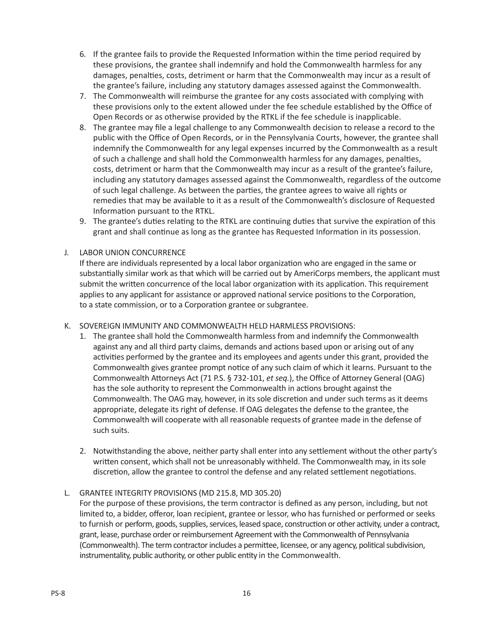- 6. If the grantee fails to provide the Requested Information within the time period required by these provisions, the grantee shall indemnify and hold the Commonwealth harmless for any damages, penalties, costs, detriment or harm that the Commonwealth may incur as a result of the grantee's failure, including any statutory damages assessed against the Commonwealth.
- 7. The Commonwealth will reimburse the grantee for any costs associated with complying with these provisions only to the extent allowed under the fee schedule established by the Office of Open Records or as otherwise provided by the RTKL if the fee schedule is inapplicable.
- 8. The grantee may file a legal challenge to any Commonwealth decision to release a record to the public with the Office of Open Records, or in the Pennsylvania Courts, however, the grantee shall indemnify the Commonwealth for any legal expenses incurred by the Commonwealth as a result of such a challenge and shall hold the Commonwealth harmless for any damages, penalties, costs, detriment or harm that the Commonwealth may incur as a result of the grantee's failure, including any statutory damages assessed against the Commonwealth, regardless of the outcome of such legal challenge. As between the parties, the grantee agrees to waive all rights or remedies that may be available to it as a result of the Commonwealth's disclosure of Requested Information pursuant to the RTKL.
- 9. The grantee's duties relating to the RTKL are continuing duties that survive the expiration of this grant and shall continue as long as the grantee has Requested Information in its possession.

# J. LABOR UNION CONCURRENCE

If there are individuals represented by a local labor organization who are engaged in the same or substantially similar work as that which will be carried out by AmeriCorps members, the applicant must submit the written concurrence of the local labor organization with its application. This requirement applies to any applicant for assistance or approved national service positions to the Corporation, to a state commission, or to a Corporation grantee or subgrantee.

- K. SOVEREIGN IMMUNITY AND COMMONWEALTH HELD HARMLESS PROVISIONS:
	- 1. The grantee shall hold the Commonwealth harmless from and indemnify the Commonwealth against any and all third party claims, demands and actions based upon or arising out of any activities performed by the grantee and its employees and agents under this grant, provided the Commonwealth gives grantee prompt notice of any such claim of which it learns. Pursuant to the Commonwealth Attorneys Act (71 P.S. § 732-101, *et seq.*), the Office of Attorney General (OAG) has the sole authority to represent the Commonwealth in actions brought against the Commonwealth. The OAG may, however, in its sole discretion and under such terms as it deems appropriate, delegate its right of defense. If OAG delegates the defense to the grantee, the Commonwealth will cooperate with all reasonable requests of grantee made in the defense of such suits.
	- 2. Notwithstanding the above, neither party shall enter into any settlement without the other party's written consent, which shall not be unreasonably withheld. The Commonwealth may, in its sole discretion, allow the grantee to control the defense and any related settlement negotiations.

# L. GRANTEE INTEGRITY PROVISIONS (MD 215.8, MD 305.20)

For the purpose of these provisions, the term contractor is defined as any person, including, but not limited to, a bidder, offeror, loan recipient, grantee or lessor, who has furnished or performed or seeks to furnish or perform, goods, supplies, services, leased space, construction or other activity, under a contract, grant, lease, purchase order or reimbursement Agreement with the Commonwealth of Pennsylvania (Commonwealth). The term contractor includes a permittee, licensee, or any agency, political subdivision, instrumentality, public authority, or other public entity in the Commonwealth.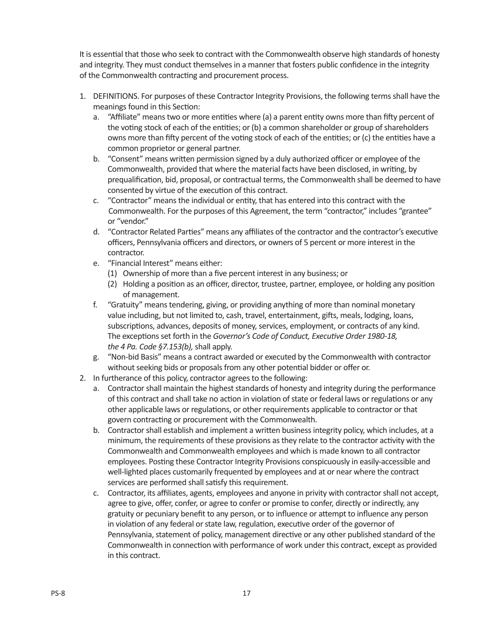It is essential that those who seek to contract with the Commonwealth observe high standards of honesty and integrity. They must conduct themselves in a manner that fosters public confidence in the integrity of the Commonwealth contracting and procurement process.

- 1. DEFINITIONS. For purposes of these Contractor Integrity Provisions, the following terms shall have the meanings found in this Section:
	- a. "Affiliate" means two or more entities where (a) a parent entity owns more than fifty percent of the voting stock of each of the entities; or (b) a common shareholder or group of shareholders owns more than fifty percent of the voting stock of each of the entities; or (c) the entities have a common proprietor or general partner.
	- b. "Consent" means written permission signed by a duly authorized officer or employee of the Commonwealth, provided that where the material facts have been disclosed, in writing, by prequalification, bid, proposal, or contractual terms, the Commonwealth shall be deemed to have consented by virtue of the execution of this contract.
	- c. "Contractor" means the individual or entity, that has entered into this contract with the Commonwealth. For the purposes of this Agreement, the term "contractor," includes "grantee" or "vendor."
	- d. "Contractor Related Parties" means any affiliates of the contractor and the contractor's executive officers, Pennsylvania officers and directors, or owners of 5 percent or more interest in the contractor.
	- e. "Financial Interest" means either:
		- (1) Ownership of more than a five percent interest in any business; or
		- (2) Holding a position as an officer, director, trustee, partner, employee, or holding any position of management.
	- f. "Gratuity" means tendering, giving, or providing anything of more than nominal monetary value including, but not limited to, cash, travel, entertainment, gifts, meals, lodging, loans, subscriptions, advances, deposits of money, services, employment, or contracts of any kind. The exceptions set forth in the *Governor's Code of Conduct, Executive Order 1980-18, the 4 Pa. Code §7.153(b),* shall apply.
	- g. "Non-bid Basis" means a contract awarded or executed by the Commonwealth with contractor without seeking bids or proposals from any other potential bidder or offer or.
- 2. In furtherance of this policy, contractor agrees to the following:
	- a. Contractor shall maintain the highest standards of honesty and integrity during the performance of this contract and shall take no action in violation of state or federal laws or regulations or any other applicable laws or regulations, or other requirements applicable to contractor or that govern contracting or procurement with the Commonwealth.
	- b. Contractor shall establish and implement a written business integrity policy, which includes, at a minimum, the requirements of these provisions as they relate to the contractor activity with the Commonwealth and Commonwealth employees and which is made known to all contractor employees. Posting these Contractor Integrity Provisions conspicuously in easily-accessible and well-lighted places customarily frequented by employees and at or near where the contract services are performed shall satisfy this requirement.
	- c. Contractor, its affiliates, agents, employees and anyone in privity with contractor shall not accept, agree to give, offer, confer, or agree to confer or promise to confer, directly or indirectly, any gratuity or pecuniary benefit to any person, or to influence or attempt to influence any person in violation of any federal or state law, regulation, executive order of the governor of Pennsylvania, statement of policy, management directive or any other published standard of the Commonwealth in connection with performance of work under this contract, except as provided in this contract.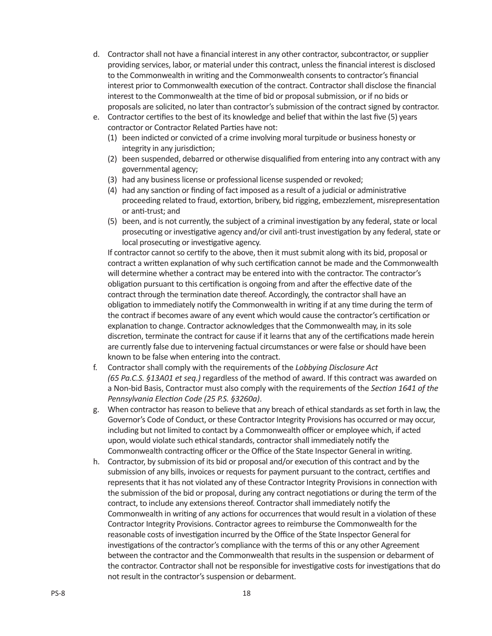- d. Contractor shall not have a financial interest in any other contractor, subcontractor, or supplier providing services, labor, or material under this contract, unless the financial interest is disclosed to the Commonwealth in writing and the Commonwealth consents to contractor's financial interest prior to Commonwealth execution of the contract. Contractor shall disclose the financial interest to the Commonwealth at the time of bid or proposal submission, or if no bids or proposals are solicited, no later than contractor's submission of the contract signed by contractor.
- e. Contractor certifies to the best of its knowledge and belief that within the last five (5) years contractor or Contractor Related Parties have not:
	- (1) been indicted or convicted of a crime involving moral turpitude or business honesty or integrity in any jurisdiction;
	- (2) been suspended, debarred or otherwise disqualified from entering into any contract with any governmental agency;
	- (3) had any business license or professional license suspended or revoked;
	- (4) had any sanction or finding of fact imposed as a result of a judicial or administrative proceeding related to fraud, extortion, bribery, bid rigging, embezzlement, misrepresentation or anti-trust; and
	- (5) been, and is not currently, the subject of a criminal investigation by any federal, state or local prosecuting or investigative agency and/or civil anti-trust investigation by any federal, state or local prosecuting or investigative agency.

If contractor cannot so certify to the above, then it must submit along with its bid, proposal or contract a written explanation of why such certification cannot be made and the Commonwealth will determine whether a contract may be entered into with the contractor. The contractor's obligation pursuant to this certification is ongoing from and after the effective date of the contract through the termination date thereof. Accordingly, the contractor shall have an obligation to immediately notify the Commonwealth in writing if at any time during the term of the contract if becomes aware of any event which would cause the contractor's certification or explanation to change. Contractor acknowledges that the Commonwealth may, in its sole discretion, terminate the contract for cause if it learns that any of the certifications made herein are currently false due to intervening factual circumstances or were false or should have been known to be false when entering into the contract.

- f. Contractor shall comply with the requirements of the *Lobbying Disclosure Act (65 Pa.C.S. §13A01 et seq.)* regardless of the method of award. If this contract was awarded on a Non-bid Basis, Contractor must also comply with the requirements of the *Section 1641 of the Pennsylvania Election Code (25 P.S. §3260a)*.
- g. When contractor has reason to believe that any breach of ethical standards as set forth in law, the Governor's Code of Conduct, or these Contractor Integrity Provisions has occurred or may occur, including but not limited to contact by a Commonwealth officer or employee which, if acted upon, would violate such ethical standards, contractor shall immediately notify the Commonwealth contracting officer or the Office of the State Inspector General in writing.
- h. Contractor, by submission of its bid or proposal and/or execution of this contract and by the submission of any bills, invoices or requests for payment pursuant to the contract, certifies and represents that it has not violated any of these Contractor Integrity Provisions in connection with the submission of the bid or proposal, during any contract negotiations or during the term of the contract, to include any extensions thereof. Contractor shall immediately notify the Commonwealth in writing of any actions for occurrences that would result in a violation of these Contractor Integrity Provisions. Contractor agrees to reimburse the Commonwealth for the reasonable costs of investigation incurred by the Office of the State Inspector General for investigations of the contractor's compliance with the terms of this or any other Agreement between the contractor and the Commonwealth that results in the suspension or debarment of the contractor. Contractor shall not be responsible for investigative costs for investigations that do not result in the contractor's suspension or debarment.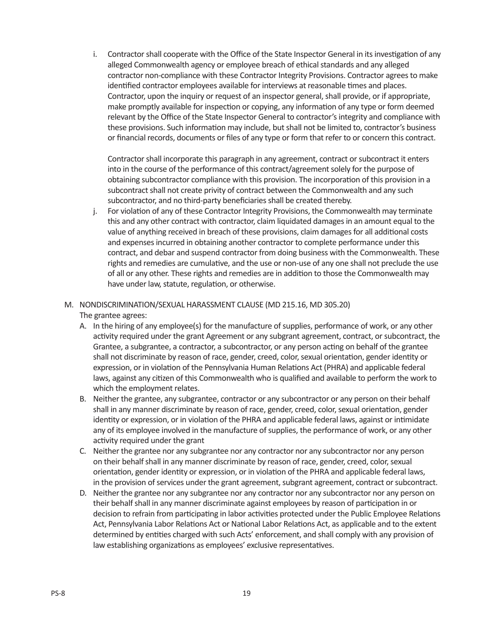i. Contractor shall cooperate with the Office of the State Inspector General in its investigation of any alleged Commonwealth agency or employee breach of ethical standards and any alleged contractor non-compliance with these Contractor Integrity Provisions. Contractor agrees to make identified contractor employees available for interviews at reasonable times and places. Contractor, upon the inquiry or request of an inspector general, shall provide, or if appropriate, make promptly available for inspection or copying, any information of any type or form deemed relevant by the Office of the State Inspector General to contractor's integrity and compliance with these provisions. Such information may include, but shall not be limited to, contractor's business or financial records, documents or files of any type or form that refer to or concern this contract.

Contractor shall incorporate this paragraph in any agreement, contract or subcontract it enters into in the course of the performance of this contract/agreement solely for the purpose of obtaining subcontractor compliance with this provision. The incorporation of this provision in a subcontract shall not create privity of contract between the Commonwealth and any such subcontractor, and no third-party beneficiaries shall be created thereby.

j. For violation of any of these Contractor Integrity Provisions, the Commonwealth may terminate this and any other contract with contractor, claim liquidated damages in an amount equal to the value of anything received in breach of these provisions, claim damages for all additional costs and expenses incurred in obtaining another contractor to complete performance under this contract, and debar and suspend contractor from doing business with the Commonwealth. These rights and remedies are cumulative, and the use or non-use of any one shall not preclude the use of all or any other. These rights and remedies are in addition to those the Commonwealth may have under law, statute, regulation, or otherwise.

# M. NONDISCRIMINATION/SEXUAL HARASSMENT CLAUSE (MD 215.16, MD 305.20)

The grantee agrees:

- A. In the hiring of any employee(s) for the manufacture of supplies, performance of work, or any other activity required under the grant Agreement or any subgrant agreement, contract, or subcontract, the Grantee, a subgrantee, a contractor, a subcontractor, or any person acting on behalf of the grantee shall not discriminate by reason of race, gender, creed, color, sexual orientation, gender identity or expression, or in violation of the Pennsylvania Human Relations Act (PHRA) and applicable federal laws, against any citizen of this Commonwealth who is qualified and available to perform the work to which the employment relates.
- B. Neither the grantee, any subgrantee, contractor or any subcontractor or any person on their behalf shall in any manner discriminate by reason of race, gender, creed, color, sexual orientation, gender identity or expression, or in violation of the PHRA and applicable federal laws, against or intimidate any of its employee involved in the manufacture of supplies, the performance of work, or any other activity required under the grant
- C. Neither the grantee nor any subgrantee nor any contractor nor any subcontractor nor any person on their behalf shall in any manner discriminate by reason of race, gender, creed, color, sexual orientation, gender identity or expression, or in violation of the PHRA and applicable federal laws, in the provision of services under the grant agreement, subgrant agreement, contract or subcontract.
- D. Neither the grantee nor any subgrantee nor any contractor nor any subcontractor nor any person on their behalf shall in any manner discriminate against employees by reason of participation in or decision to refrain from participating in labor activities protected under the Public Employee Relations Act, Pennsylvania Labor Relations Act or National Labor Relations Act, as applicable and to the extent determined by entities charged with such Acts' enforcement, and shall comply with any provision of law establishing organizations as employees' exclusive representatives.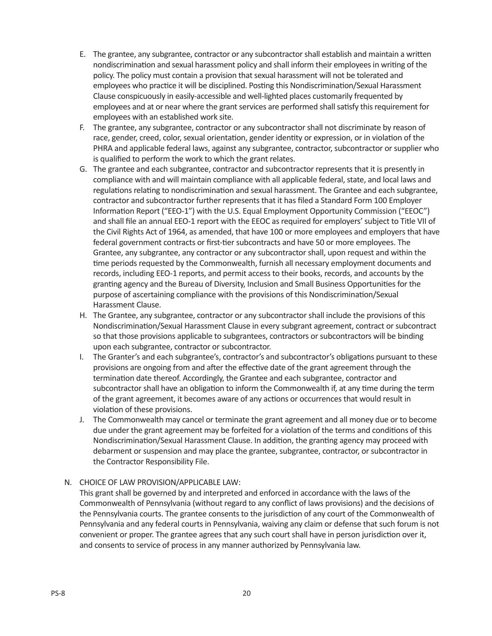- E. The grantee, any subgrantee, contractor or any subcontractor shall establish and maintain a written nondiscrimination and sexual harassment policy and shall inform their employees in writing of the policy. The policy must contain a provision that sexual harassment will not be tolerated and employees who practice it will be disciplined. Posting this Nondiscrimination/Sexual Harassment Clause conspicuously in easily-accessible and well-lighted places customarily frequented by employees and at or near where the grant services are performed shall satisfy this requirement for employees with an established work site.
- F. The grantee, any subgrantee, contractor or any subcontractor shall not discriminate by reason of race, gender, creed, color, sexual orientation, gender identity or expression, or in violation of the PHRA and applicable federal laws, against any subgrantee, contractor, subcontractor or supplier who is qualified to perform the work to which the grant relates.
- G. The grantee and each subgrantee, contractor and subcontractor represents that it is presently in compliance with and will maintain compliance with all applicable federal, state, and local laws and regulations relating to nondiscrimination and sexual harassment. The Grantee and each subgrantee, contractor and subcontractor further represents that it has filed a Standard Form 100 Employer Information Report ("EEO-1") with the U.S. Equal Employment Opportunity Commission ("EEOC") and shall file an annual EEO-1 report with the EEOC as required for employers' subject to Title VII of the Civil Rights Act of 1964, as amended, that have 100 or more employees and employers that have federal government contracts or first-tier subcontracts and have 50 or more employees. The Grantee, any subgrantee, any contractor or any subcontractor shall, upon request and within the time periods requested by the Commonwealth, furnish all necessary employment documents and records, including EEO-1 reports, and permit access to their books, records, and accounts by the granting agency and the Bureau of Diversity, Inclusion and Small Business Opportunities for the purpose of ascertaining compliance with the provisions of this Nondiscrimination/Sexual Harassment Clause.
- H. The Grantee, any subgrantee, contractor or any subcontractor shall include the provisions of this Nondiscrimination/Sexual Harassment Clause in every subgrant agreement, contract or subcontract so that those provisions applicable to subgrantees, contractors or subcontractors will be binding upon each subgrantee, contractor or subcontractor.
- I. The Granter's and each subgrantee's, contractor's and subcontractor's obligations pursuant to these provisions are ongoing from and after the effective date of the grant agreement through the termination date thereof. Accordingly, the Grantee and each subgrantee, contractor and subcontractor shall have an obligation to inform the Commonwealth if, at any time during the term of the grant agreement, it becomes aware of any actions or occurrences that would result in violation of these provisions.
- J. The Commonwealth may cancel or terminate the grant agreement and all money due or to become due under the grant agreement may be forfeited for a violation of the terms and conditions of this Nondiscrimination/Sexual Harassment Clause. In addition, the granting agency may proceed with debarment or suspension and may place the grantee, subgrantee, contractor, or subcontractor in the Contractor Responsibility File.
- N. CHOICE OF LAW PROVISION/APPLICABLE LAW:

This grant shall be governed by and interpreted and enforced in accordance with the laws of the Commonwealth of Pennsylvania (without regard to any conflict of laws provisions) and the decisions of the Pennsylvania courts. The grantee consents to the jurisdiction of any court of the Commonwealth of Pennsylvania and any federal courts in Pennsylvania, waiving any claim or defense that such forum is not convenient or proper. The grantee agrees that any such court shall have in person jurisdiction over it, and consents to service of process in any manner authorized by Pennsylvania law.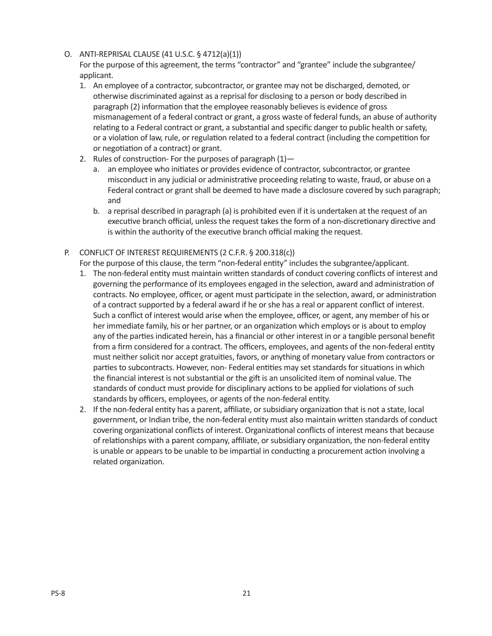O. ANTI-REPRISAL CLAUSE (41 U.S.C. § 4712(a)(1))

For the purpose of this agreement, the terms "contractor" and "grantee" include the subgrantee/ applicant.

- 1. An employee of a contractor, subcontractor, or grantee may not be discharged, demoted, or otherwise discriminated against as a reprisal for disclosing to a person or body described in paragraph (2) information that the employee reasonably believes is evidence of gross mismanagement of a federal contract or grant, a gross waste of federal funds, an abuse of authority relating to a Federal contract or grant, a substantial and specific danger to public health or safety, or a violation of law, rule, or regulation related to a federal contract (including the competition for or negotiation of a contract) or grant.
- 2. Rules of construction- For the purposes of paragraph  $(1)$ 
	- a. an employee who initiates or provides evidence of contractor, subcontractor, or grantee misconduct in any judicial or administrative proceeding relating to waste, fraud, or abuse on a Federal contract or grant shall be deemed to have made a disclosure covered by such paragraph; and
	- b. a reprisal described in paragraph (a) is prohibited even if it is undertaken at the request of an executive branch official, unless the request takes the form of a non-discretionary directive and is within the authority of the executive branch official making the request.
- P. CONFLICT OF INTEREST REQUIREMENTS (2 C.F.R. § 200.318(c))
	- For the purpose of this clause, the term "non-federal entity" includes the subgrantee/applicant.
	- 1. The non-federal entity must maintain written standards of conduct covering conflicts of interest and governing the performance of its employees engaged in the selection, award and administration of contracts. No employee, officer, or agent must participate in the selection, award, or administration of a contract supported by a federal award if he or she has a real or apparent conflict of interest. Such a conflict of interest would arise when the employee, officer, or agent, any member of his or her immediate family, his or her partner, or an organization which employs or is about to employ any of the parties indicated herein, has a financial or other interest in or a tangible personal benefit from a firm considered for a contract. The officers, employees, and agents of the non-federal entity must neither solicit nor accept gratuities, favors, or anything of monetary value from contractors or parties to subcontracts. However, non- Federal entities may set standards for situations in which the financial interest is not substantial or the gift is an unsolicited item of nominal value. The standards of conduct must provide for disciplinary actions to be applied for violations of such standards by officers, employees, or agents of the non-federal entity.
	- 2. If the non-federal entity has a parent, affiliate, or subsidiary organization that is not a state, local government, or Indian tribe, the non-federal entity must also maintain written standards of conduct covering organizational conflicts of interest. Organizational conflicts of interest means that because of relationships with a parent company, affiliate, or subsidiary organization, the non-federal entity is unable or appears to be unable to be impartial in conducting a procurement action involving a related organization.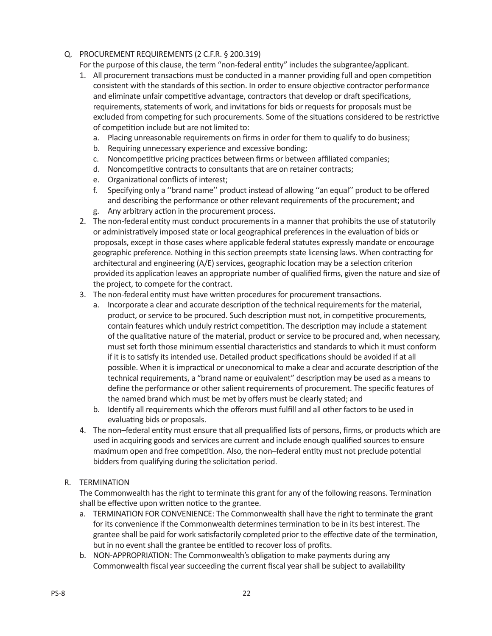Q. PROCUREMENT REQUIREMENTS (2 C.F.R. § 200.319)

For the purpose of this clause, the term "non-federal entity" includes the subgrantee/applicant.

- 1. All procurement transactions must be conducted in a manner providing full and open competition consistent with the standards of this section. In order to ensure objective contractor performance and eliminate unfair competitive advantage, contractors that develop or draft specifications, requirements, statements of work, and invitations for bids or requests for proposals must be excluded from competing for such procurements. Some of the situations considered to be restrictive of competition include but are not limited to:
	- a. Placing unreasonable requirements on firms in order for them to qualify to do business;
	- b. Requiring unnecessary experience and excessive bonding;
	- c. Noncompetitive pricing practices between firms or between affiliated companies;
	- d. Noncompetitive contracts to consultants that are on retainer contracts;
	- e. Organizational conflicts of interest;
	- f. Specifying only a ''brand name'' product instead of allowing ''an equal'' product to be offered and describing the performance or other relevant requirements of the procurement; and g. Any arbitrary action in the procurement process.
- 2. The non-federal entity must conduct procurements in a manner that prohibits the use of statutorily or administratively imposed state or local geographical preferences in the evaluation of bids or proposals, except in those cases where applicable federal statutes expressly mandate or encourage geographic preference. Nothing in this section preempts state licensing laws. When contracting for architectural and engineering (A/E) services, geographic location may be a selection criterion provided its application leaves an appropriate number of qualified firms, given the nature and size of the project, to compete for the contract.
- 3. The non-federal entity must have written procedures for procurement transactions.
	- a. Incorporate a clear and accurate description of the technical requirements for the material, product, or service to be procured. Such description must not, in competitive procurements, contain features which unduly restrict competition. The description may include a statement of the qualitative nature of the material, product or service to be procured and, when necessary, must set forth those minimum essential characteristics and standards to which it must conform if it is to satisfy its intended use. Detailed product specifications should be avoided if at all possible. When it is impractical or uneconomical to make a clear and accurate description of the technical requirements, a "brand name or equivalent" description may be used as a means to define the performance or other salient requirements of procurement. The specific features of the named brand which must be met by offers must be clearly stated; and
	- b. Identify all requirements which the offerors must fulfill and all other factors to be used in evaluating bids or proposals.
- 4. The non–federal entity must ensure that all prequalified lists of persons, firms, or products which are used in acquiring goods and services are current and include enough qualified sources to ensure maximum open and free competition. Also, the non–federal entity must not preclude potential bidders from qualifying during the solicitation period.
- R. TERMINATION

The Commonwealth has the right to terminate this grant for any of the following reasons. Termination shall be effective upon written notice to the grantee.

- a. TERMINATION FOR CONVENIENCE: The Commonwealth shall have the right to terminate the grant for its convenience if the Commonwealth determines termination to be in its best interest. The grantee shall be paid for work satisfactorily completed prior to the effective date of the termination, but in no event shall the grantee be entitled to recover loss of profits.
- b. NON-APPROPRIATION: The Commonwealth's obligation to make payments during any Commonwealth fiscal year succeeding the current fiscal year shall be subject to availability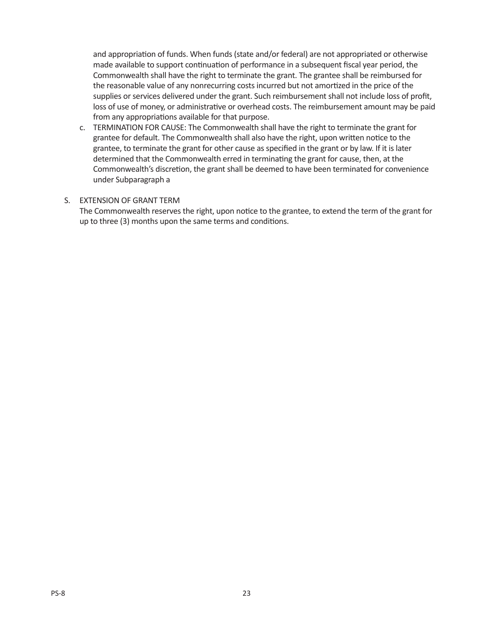and appropriation of funds. When funds (state and/or federal) are not appropriated or otherwise made available to support continuation of performance in a subsequent fiscal year period, the Commonwealth shall have the right to terminate the grant. The grantee shall be reimbursed for the reasonable value of any nonrecurring costs incurred but not amortized in the price of the supplies or services delivered under the grant. Such reimbursement shall not include loss of profit, loss of use of money, or administrative or overhead costs. The reimbursement amount may be paid from any appropriations available for that purpose.

c. TERMINATION FOR CAUSE: The Commonwealth shall have the right to terminate the grant for grantee for default. The Commonwealth shall also have the right, upon written notice to the grantee, to terminate the grant for other cause as specified in the grant or by law. If it is later determined that the Commonwealth erred in terminating the grant for cause, then, at the Commonwealth's discretion, the grant shall be deemed to have been terminated for convenience under Subparagraph a

# S. EXTENSION OF GRANT TERM

The Commonwealth reserves the right, upon notice to the grantee, to extend the term of the grant for up to three (3) months upon the same terms and conditions.